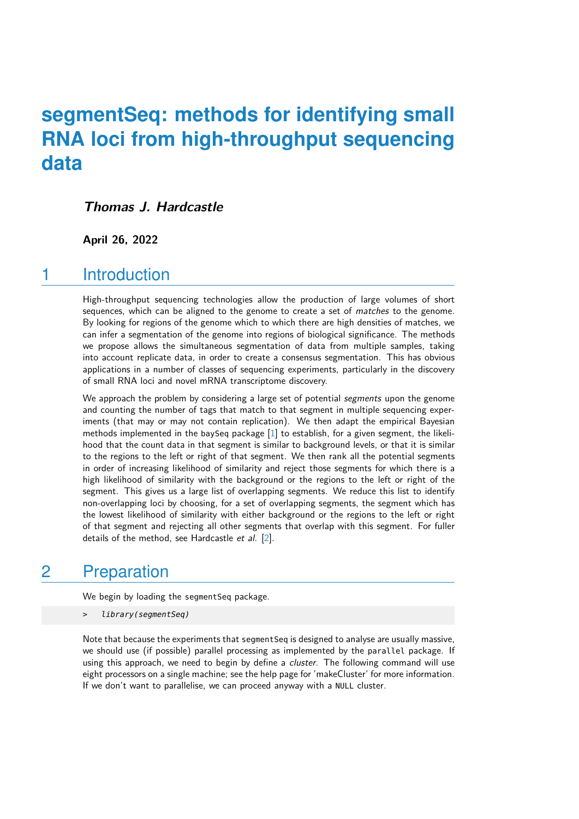# **segmentSeq: methods for identifying small RNA loci from high-throughput sequencing data**

### **Thomas J. Hardcastle**

#### **April 26, 2022**

### 1 Introduction

High-throughput sequencing technologies allow the production of large volumes of short sequences, which can be aligned to the genome to create a set of *matches* to the genome. By looking for regions of the genome which to which there are high densities of matches, we can infer a segmentation of the genome into regions of biological significance. The methods we propose allows the simultaneous segmentation of data from multiple samples, taking into account replicate data, in order to create a consensus segmentation. This has obvious applications in a number of classes of sequencing experiments, particularly in the discovery of small RNA loci and novel mRNA transcriptome discovery.

We approach the problem by considering a large set of potential segments upon the genome and counting the number of tags that match to that segment in multiple sequencing experiments (that may or may not contain replication). We then adapt the empirical Bayesian methods implemented in the baySeq package [\[1\]](#page-9-0) to establish, for a given segment, the likelihood that the count data in that segment is similar to background levels, or that it is similar to the regions to the left or right of that segment. We then rank all the potential segments in order of increasing likelihood of similarity and reject those segments for which there is a high likelihood of similarity with the background or the regions to the left or right of the segment. This gives us a large list of overlapping segments. We reduce this list to identify non-overlapping loci by choosing, for a set of overlapping segments, the segment which has the lowest likelihood of similarity with either background or the regions to the left or right of that segment and rejecting all other segments that overlap with this segment. For fuller details of the method, see Hardcastle et al. [\[2\]](#page-9-1).

# 2 Preparation

We begin by loading the segmentSeq package.

> library(segmentSeq)

Note that because the experiments that segmentSeq is designed to analyse are usually massive, we should use (if possible) parallel processing as implemented by the parallel package. If using this approach, we need to begin by define a *cluster*. The following command will use eight processors on a single machine; see the help page for 'makeCluster' for more information. If we don't want to parallelise, we can proceed anyway with a NULL cluster.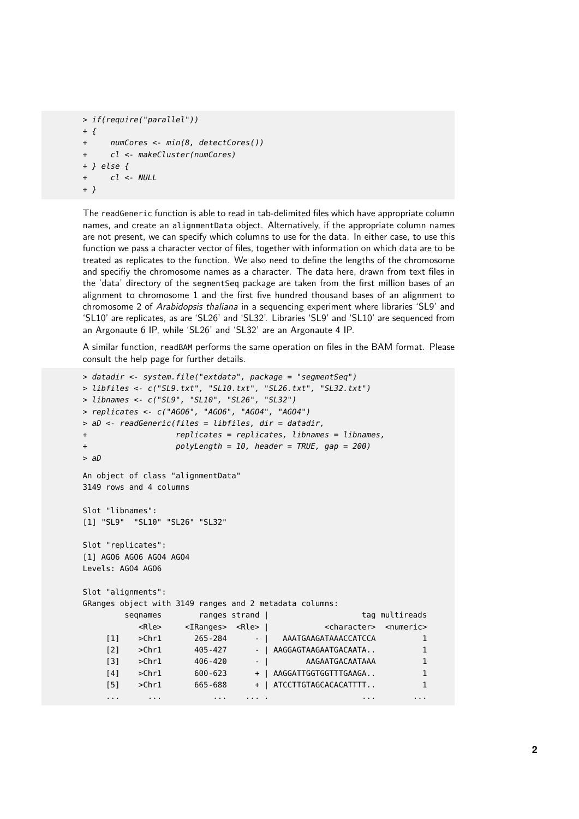```
> if(require("parallel"))
+ f+ numCores <- min(8, detectCores())
+ cl <- makeCluster(numCores)
+ } else {
+ cl <- NULL
+ }
```
The readGeneric function is able to read in tab-delimited files which have appropriate column names, and create an alignmentData object. Alternatively, if the appropriate column names are not present, we can specify which columns to use for the data. In either case, to use this function we pass a character vector of files, together with information on which data are to be treated as replicates to the function. We also need to define the lengths of the chromosome and specifiy the chromosome names as a character. The data here, drawn from text files in the 'data' directory of the segmentSeq package are taken from the first million bases of an alignment to chromosome 1 and the first five hundred thousand bases of an alignment to chromosome 2 of Arabidopsis thaliana in a sequencing experiment where libraries 'SL9' and 'SL10' are replicates, as are 'SL26' and 'SL32'. Libraries 'SL9' and 'SL10' are sequenced from an Argonaute 6 IP, while 'SL26' and 'SL32' are an Argonaute 4 IP.

A similar function, readBAM performs the same operation on files in the BAM format. Please consult the help page for further details.

```
> datadir <- system.file("extdata", package = "segmentSeq")
> libfiles <- c("SL9.txt", "SL10.txt", "SL26.txt", "SL32.txt")
> libnames <- c("SL9", "SL10", "SL26", "SL32")
> replicates <- c("AGO6", "AGO6", "AGO4", "AGO4")
> aD <- readGeneric(files = libfiles, dir = datadir,
+ replicates = replicates, libnames = libnames,
+ polyLength = 10, header = TRUE, gap = 200)
> aD
An object of class "alignmentData"
3149 rows and 4 columns
Slot "libnames":
[1] "SL9" "SL10" "SL26" "SL32"
Slot "replicates":
[1] AGO6 AGO6 AGO4 AGO4
Levels: AGO4 AGO6
Slot "alignments":
GRanges object with 3149 ranges and 2 metadata columns:
       seqnames ranges strand | tag multireads
         <Rle> <IRanges> <Rle> | <character> <numeric>
    [1] >Chr1 265-284 - | AAATGAAGATAAACCATCCA 1
    [2] >Chr1 405-427 - | AAGGAGTAAGAATGACAATA.. 1
    [3] >Chr1 406-420 - | AAGAATGACAATAAA 1
    [4] >Chr1 600-623 + | AAGGATTGGTGGTTTGAAGA.. 1
    [5] >Chr1 665-688 + | ATCCTTGTAGCACACATTTT.. 1
    ... ... ... ... . ... ...
```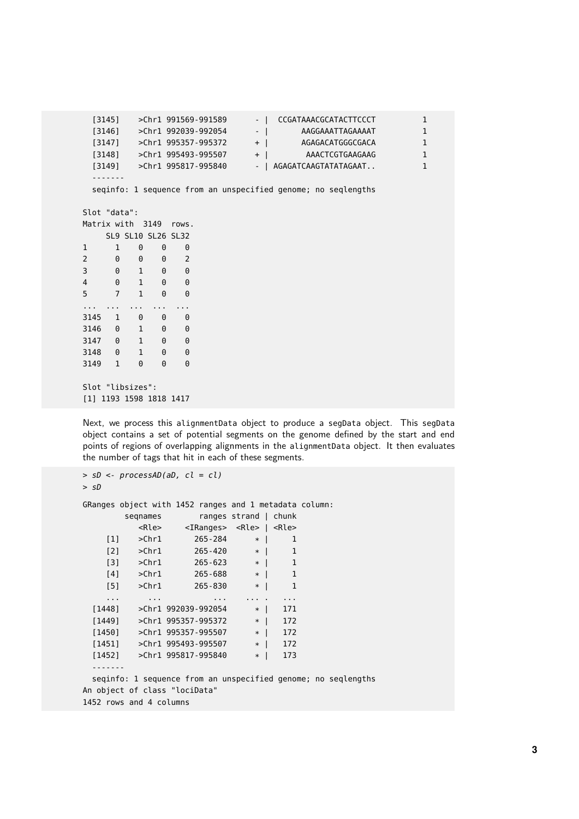[3145] >Chr1 991569-991589 - | CCGATAAACGCATACTTCCCT 1 [3146] >Chr1 992039-992054 - | AAGGAAATTAGAAAAT 1 [3147] >Chr1 995357-995372 + | AGAGACATGGGCGACA 1 [3148] >Chr1 995493-995507 + | AAACTCGTGAAGAAG 1 [3149] >Chr1 995817-995840 - | AGAGATCAAGTATATAGAAT.. 1 ------ seqinfo: 1 sequence from an unspecified genome; no seqlengths Slot "data": Matrix with 3149 rows. SL9 SL10 SL26 SL32 1 1 0 0 0 2 0 0 0 2 3 0 1 0 0 4 0 1 0 0 5 7 1 0 0 ... ... ... ... ... 3145 1 0 0 0 3146 0 1 0 0 3147 0 1 0 0 3148 0 1 0 0 3149 1 0 0 0 Slot "libsizes": [1] 1193 1598 1818 1417

Next, we process this alignmentData object to produce a segData object. This segData object contains a set of potential segments on the genome defined by the start and end points of regions of overlapping alignments in the alignmentData object. It then evaluates the number of tags that hit in each of these segments.

```
> sD <- processAD(aD, cl = cl)
> sD
GRanges object with 1452 ranges and 1 metadata column:
       seqnames ranges strand | chunk
         <Rle> <IRanges> <Rle> | <Rle>
    [1] >Chr1 265-284 * | 1
    [2] >Chr1 265-420 * | 1
    [3] >Chr1 265-623 * | 1
    [4] >Chr1 265-688 * | 1
   [5] >Chr1 265-830 * | 1
    ... ... ... ... . ...
 [1448] >Chr1 992039-992054 * | 171
 [1449] >Chr1 995357-995372 * | 172
 [1450] >Chr1 995357-995507
 [1451] >Chr1 995493-995507 * | 172
 [1452] >Chr1 995817-995840 * | 173
 -------
 seqinfo: 1 sequence from an unspecified genome; no seqlengths
An object of class "lociData"
1452 rows and 4 columns
```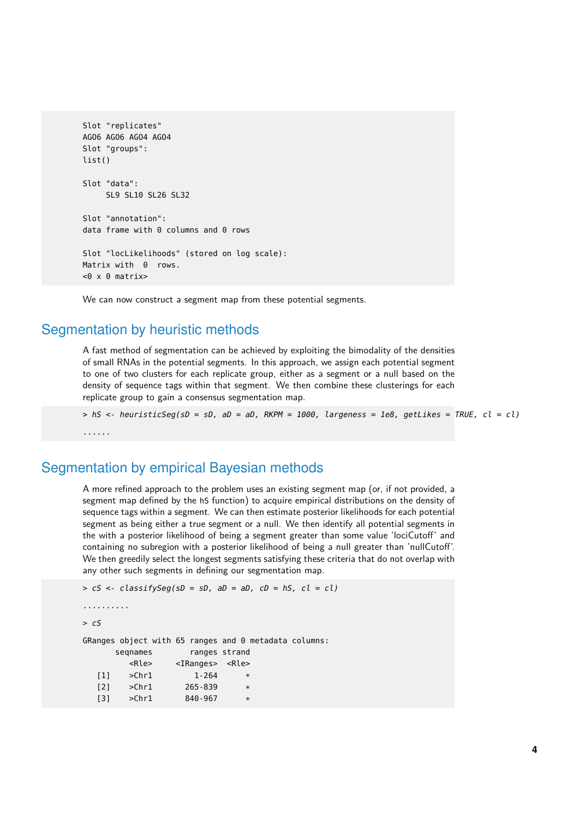```
Slot "replicates"
AGO6 AGO6 AGO4 AGO4
Slot "groups":
list()
Slot "data":
     SL9 SL10 SL26 SL32
Slot "annotation":
data frame with 0 columns and 0 rows
Slot "locLikelihoods" (stored on log scale):
Matrix with 0 rows.
< 0 \times 0 matrix>
```
We can now construct a segment map from these potential segments.

#### Segmentation by heuristic methods

A fast method of segmentation can be achieved by exploiting the bimodality of the densities of small RNAs in the potential segments. In this approach, we assign each potential segment to one of two clusters for each replicate group, either as a segment or a null based on the density of sequence tags within that segment. We then combine these clusterings for each replicate group to gain a consensus segmentation map.

 $>$  hS <- heuristicSeg(sD = sD, aD = aD, RKPM = 1000, largeness = 1e8, getLikes = TRUE, cl = cl) ......

#### Segmentation by empirical Bayesian methods

[3] >Chr1 840-967 \*

A more refined approach to the problem uses an existing segment map (or, if not provided, a segment map defined by the hS function) to acquire empirical distributions on the density of sequence tags within a segment. We can then estimate posterior likelihoods for each potential segment as being either a true segment or a null. We then identify all potential segments in the with a posterior likelihood of being a segment greater than some value 'lociCutoff' and containing no subregion with a posterior likelihood of being a null greater than 'nullCutoff'. We then greedily select the longest segments satisfying these criteria that do not overlap with any other such segments in defining our segmentation map.

```
> cS <- classifySeg(sD = sD, aD = aD, cD = hS, c1 = c1)
..........
> cSGRanges object with 65 ranges and 0 metadata columns:
      seqnames ranges strand
         <Rle> <IRanges> <Rle>
  [1] >Chr1 1-264 *<br>[2] >Chr1 265-839 *
  [2] >Chr1 265-839 *
```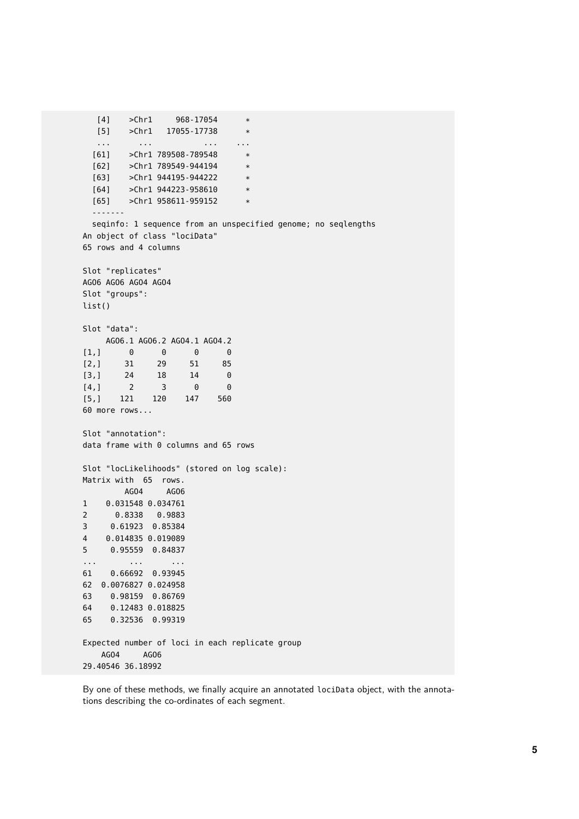```
[4] >Chr1 968-17054 *
  [5] >Chr1 17055-17738 *
  ... ... ... ...
 [61] > Chr1 789508-789548 *
 [62] > Chr1 789549-944194 *
 [63] >Chr1 944195-944222 *
 [64] >Chr1 944223-958610 *
 [65] >Chr1 958611-959152 *
  -------
 seqinfo: 1 sequence from an unspecified genome; no seqlengths
An object of class "lociData"
65 rows and 4 columns
Slot "replicates"
AGO6 AGO6 AGO4 AGO4
Slot "groups":
list()
Slot "data":
  AGO6.1 AGO6.2 AGO4.1 AGO4.2
[1,] 0 0 0 0[2,] 31 29 51 85
[3,] 24 18 14 0
[4,] 2 3 0 0
[5,] 121 120 147 560
60 more rows...
Slot "annotation":
data frame with 0 columns and 65 rows
Slot "locLikelihoods" (stored on log scale):
Matrix with 65 rows.
       AGO4 AGO6
1 0.031548 0.034761
2 0.8338 0.9883
3 0.61923 0.85384
4 0.014835 0.019089
5 0.95559 0.84837
... ... ...
61 0.66692 0.93945
62 0.0076827 0.024958
63 0.98159 0.86769
64 0.12483 0.018825
65 0.32536 0.99319
Expected number of loci in each replicate group
   AGO4 AGO6
29.40546 36.18992
```
By one of these methods, we finally acquire an annotated lociData object, with the annotations describing the co-ordinates of each segment.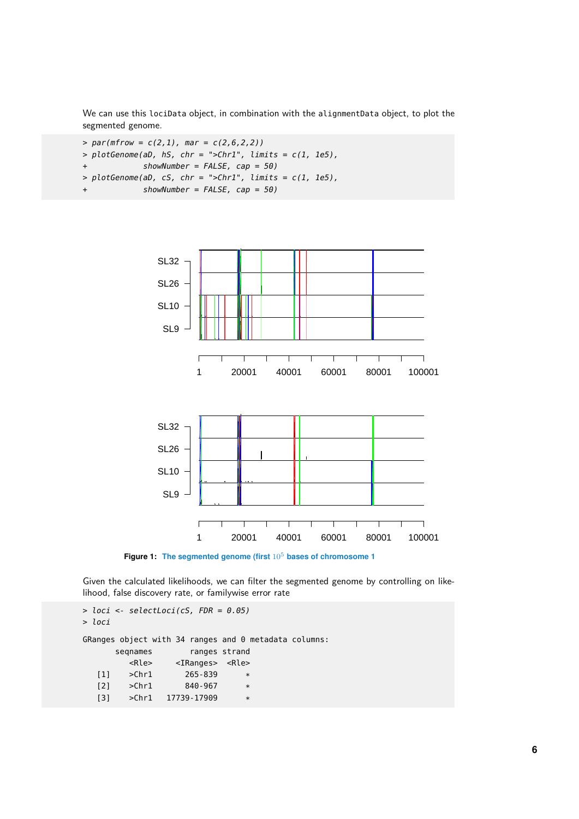We can use this lociData object, in combination with the alignmentData object, to plot the segmented genome.

```
> par(mfrow = c(2,1), mar = c(2,6,2,2))> plotGenome(ab, hS, chr = ">Chr1", limits = c(1, 1e5),+ showNumber = FALSE, cap = 50)
> plotGenome(ab, cS, chr = ">Chr1", limits = c(1, 1e5),showNumber = FALSE, cap = 50)
```


**Figure 1:** The segmented genome (first  $10^5$  bases of chromosome 1

Given the calculated likelihoods, we can filter the segmented genome by controlling on likelihood, false discovery rate, or familywise error rate

```
> loci <- selectLoci(cS, FDR = 0.05)
> loci
GRanges object with 34 ranges and 0 metadata columns:
     seqnames ranges strand
        <Rle> <IRanges> <Rle>
  [1] >Chr1 265-839 *
  [2] >Chr1 840-967 *
  [3] >Chr1 17739-17909
```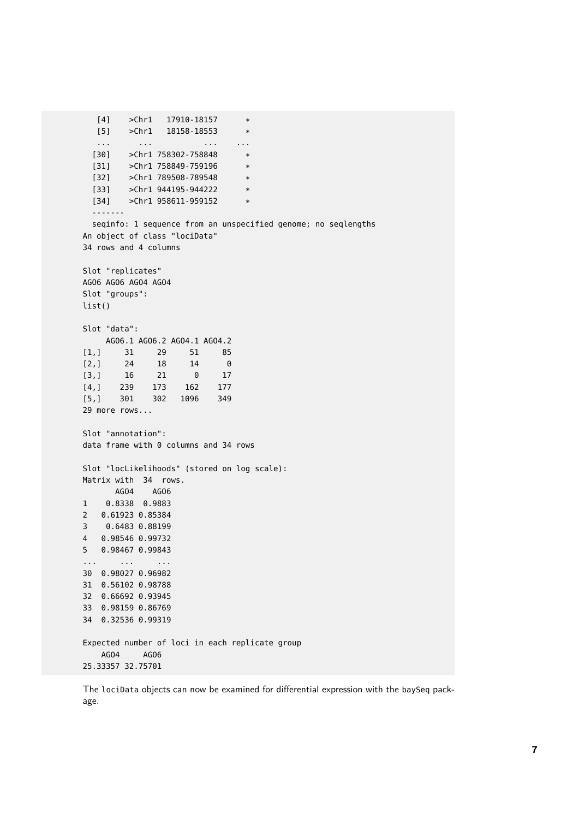```
[4] > Chr1 17910-18157 *
  [5] >Chr1 18158-18553 *
  ... ... ... ...
 [30] > Chr1 758302-758848 *
 [31] >Chr1 758849-759196 *
 [32] >Chr1 789508-789548 *
 [33] >Chr1 944195-944222 *
 [34] >Chr1 958611-959152 *
  -------
 seqinfo: 1 sequence from an unspecified genome; no seqlengths
An object of class "lociData"
34 rows and 4 columns
Slot "replicates"
AGO6 AGO6 AGO4 AGO4
Slot "groups":
list()
Slot "data":
  AGO6.1 AGO6.2 AGO4.1 AGO4.2
[1,] 31 29 51 85
[2,] 24 18 14 0
[3,] 16 21 0 17
[4,] 239 173 162 177
[5,] 301 302 1096 349
29 more rows...
Slot "annotation":
data frame with 0 columns and 34 rows
Slot "locLikelihoods" (stored on log scale):
Matrix with 34 rows.
     AGO4 AGO6
1 0.8338 0.9883
2 0.61923 0.85384
3 0.6483 0.88199
4 0.98546 0.99732
5 0.98467 0.99843
... ... ...
30 0.98027 0.96982
31 0.56102 0.98788
32 0.66692 0.93945
33 0.98159 0.86769
34 0.32536 0.99319
Expected number of loci in each replicate group
   AGO4 AGO6
25.33357 32.75701
```
The lociData objects can now be examined for differential expression with the baySeq package.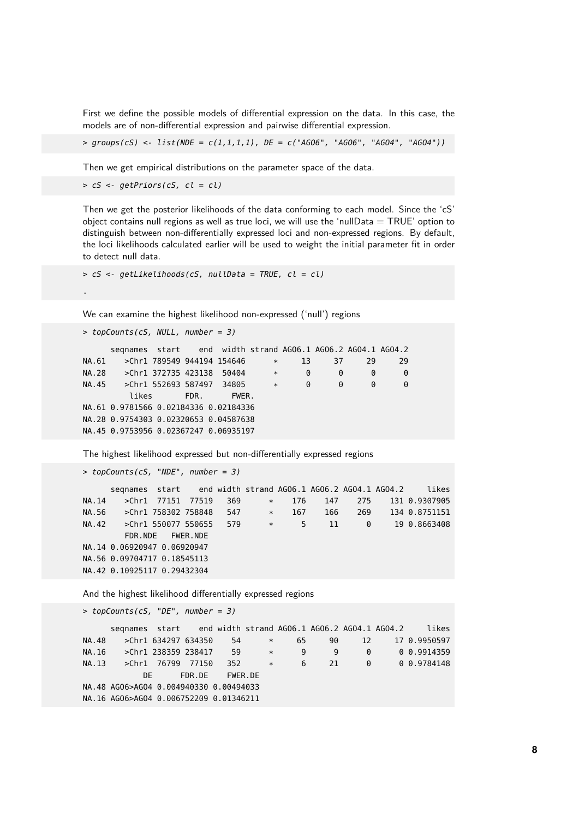First we define the possible models of differential expression on the data. In this case, the models are of non-differential expression and pairwise differential expression.

 $>$  groups(cS) <- list(NDE = c(1,1,1,1), DE = c("AGO6", "AGO6", "AGO4", "AGO4"))

Then we get empirical distributions on the parameter space of the data.

```
> cS <- getPriors(cS, cl = cl)
```
Then we get the posterior likelihoods of the data conforming to each model. Since the 'cS' object contains null regions as well as true loci, we will use the 'nullData  $= TRUE'$  option to distinguish between non-differentially expressed loci and non-expressed regions. By default, the loci likelihoods calculated earlier will be used to weight the initial parameter fit in order to detect null data.

```
> cS <- getLikelihoods(cS, nullData = TRUE, cl = cl)
```
We can examine the highest likelihood non-expressed ('null') regions

```
> topCounts(cS, NULL, number = 3)
```
.

```
seqnames start end width strand AGO6.1 AGO6.2 AGO4.1 AGO4.2
NA.61 >Chr1 789549 944194 154646 * 13 37 29 29<br>NA.28 >Chr1 372735 423138 50404 * 0 0 0 0
NA.28 >Chr1 372735 423138 50404 * 0 0 0 0
NA.45 >Chr1 552693 587497 34805 * 0 0 0 0
        likes FDR. FWER.
NA.61 0.9781566 0.02184336 0.02184336
NA.28 0.9754303 0.02320653 0.04587638
NA.45 0.9753956 0.02367247 0.06935197
```
The highest likelihood expressed but non-differentially expressed regions

```
> topCounts(cS, "NDE", number = 3)
     seqnames start end width strand AGO6.1 AGO6.2 AGO4.1 AGO4.2 likes
NA.14 >Chr1 77151 77519 369 * 176 147 275 131 0.9307905
NA.56 >Chr1 758302 758848 547 * 167 166 269 134 0.8751151
NA.42 >Chr1 550077 550655 579 * 5 11 0 19 0.8663408
       FDR.NDE FWER.NDE
NA.14 0.06920947 0.06920947
NA.56 0.09704717 0.18545113
NA.42 0.10925117 0.29432304
```
And the highest likelihood differentially expressed regions

```
> topCounts(cS, "DE", number = 3)seqnames start end width strand AGO6.1 AGO6.2 AGO4.1 AGO4.2 likes
NA.48 >Chr1 634297 634350 54 * 65 90 12 17 0.9950597
NA.16 >Chr1 238359 238417 59 * 9 9 0 0 0.9914359
NA.13 >Chr1 76799 77150 352 * 6 21 0 0 0.9784148
         DE FDR.DE FWER.DE
NA.48 AGO6>AGO4 0.004940330 0.00494033
NA.16 AGO6>AGO4 0.006752209 0.01346211
```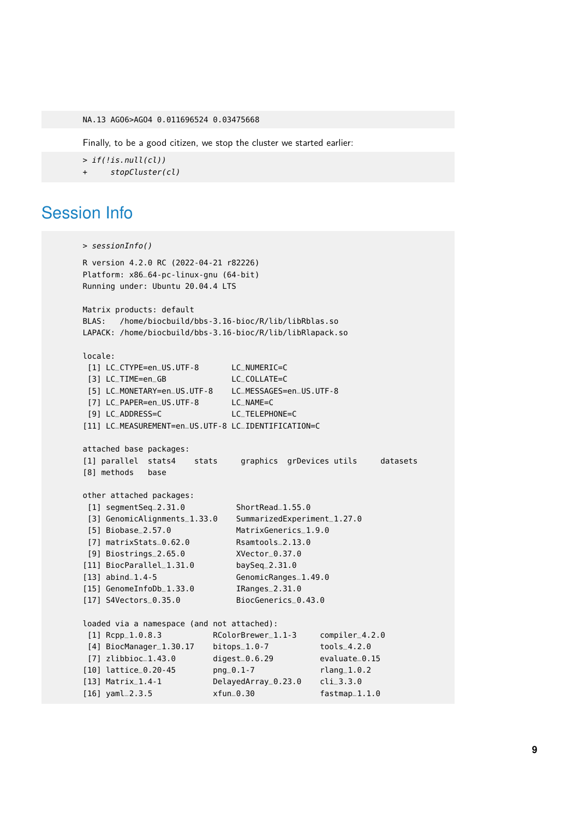NA.13 AGO6>AGO4 0.011696524 0.03475668

Finally, to be a good citizen, we stop the cluster we started earlier:

 $>$  if(!is.null(cl))

stopCluster(cl)

### Session Info

```
> sessionInfo()
R version 4.2.0 RC (2022-04-21 r82226)
Platform: x86_64-pc-linux-gnu (64-bit)
Running under: Ubuntu 20.04.4 LTS
Matrix products: default
BLAS: /home/biocbuild/bbs-3.16-bioc/R/lib/libRblas.so
LAPACK: /home/biocbuild/bbs-3.16-bioc/R/lib/libRlapack.so
locale:
[1] LC_CTYPE=en_US.UTF-8 LC_NUMERIC=C
[3] LC_TIME=en_GB LC_COLLATE=C
[5] LC_MONETARY=en_US.UTF-8 LC_MESSAGES=en_US.UTF-8
[7] LC_PAPER=en_US.UTF-8 LC_NAME=C
[9] LC_ADDRESS=C LC_TELEPHONE=C
[11] LC_MEASUREMENT=en_US.UTF-8 LC_IDENTIFICATION=C
attached base packages:
[1] parallel stats4 stats graphics grDevices utils datasets
[8] methods base
other attached packages:
[1] segmentSeq_2.31.0 ShortRead_1.55.0
[3] GenomicAlignments_1.33.0 SummarizedExperiment_1.27.0
[5] Biobase_2.57.0 MatrixGenerics_1.9.0
[7] matrixStats_0.62.0 Rsamtools_2.13.0
[9] Biostrings_2.65.0 XVector_0.37.0
[11] BiocParallel_1.31.0 baySeq_2.31.0
[13] abind_1.4-5 GenomicRanges_1.49.0
[15] GenomeInfoDb_1.33.0 IRanges_2.31.0
[17] S4Vectors_0.35.0 BiocGenerics_0.43.0
loaded via a namespace (and not attached):
[1] Rcpp_1.0.8.3 RColorBrewer_1.1-3 compiler_4.2.0
[4] BiocManager_1.30.17 bitops_1.0-7 tools_4.2.0
[7] zlibbioc_1.43.0 digest_0.6.29 evaluate_0.15
[10] lattice_0.20-45 png_0.1-7 rlang_1.0.2
[13] Matrix_1.4-1 DelayedArray_0.23.0 cli_3.3.0
[16] yaml_2.3.5 xfun_0.30 fastmap_1.1.0
```